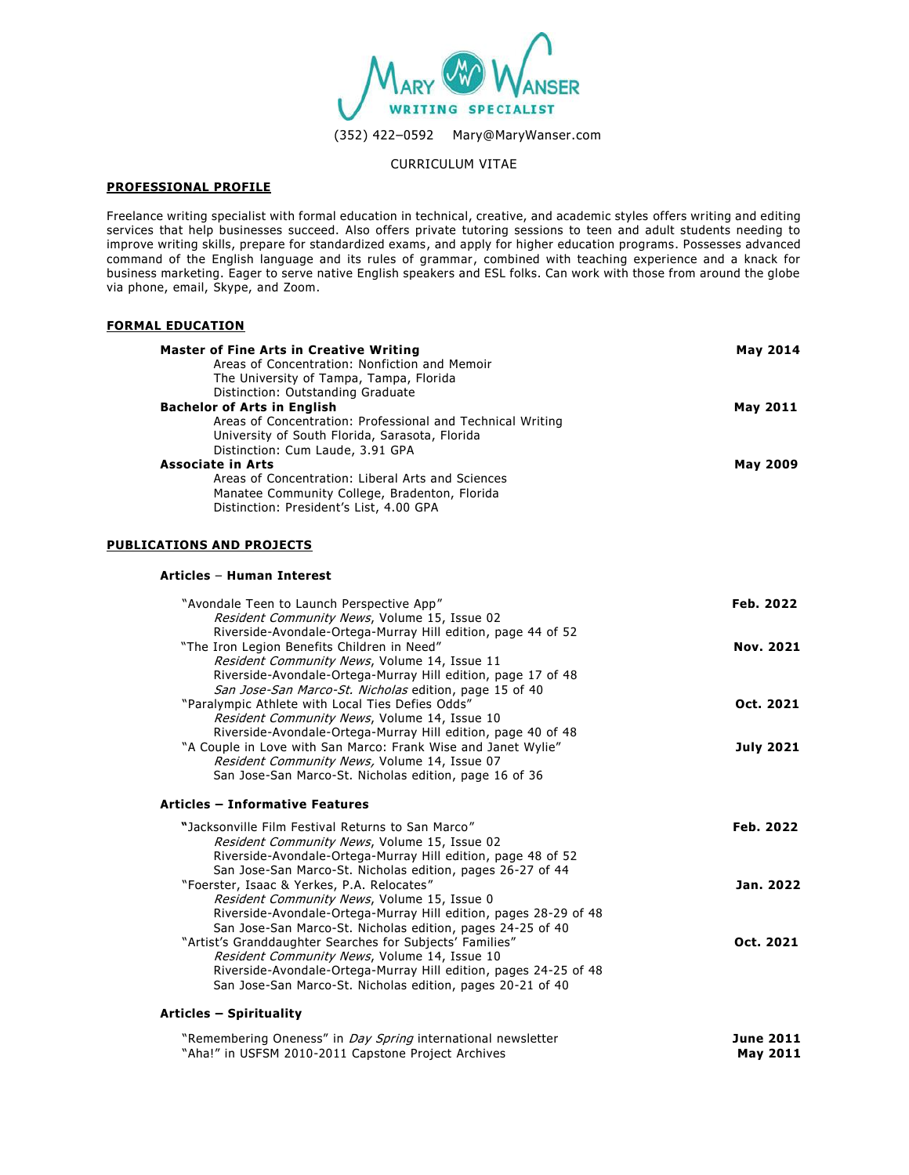

### CURRICULUM VITAE

## **PROFESSIONAL PROFILE**

Freelance writing specialist with formal education in technical, creative, and academic styles offers writing and editing services that help businesses succeed. Also offers private tutoring sessions to teen and adult students needing to improve writing skills, prepare for standardized exams, and apply for higher education programs. Possesses advanced command of the English language and its rules of grammar, combined with teaching experience and a knack for business marketing. Eager to serve native English speakers and ESL folks. Can work with those from around the globe via phone, email, Skype, and Zoom.

## **FORMAL EDUCATION**

| <b>Master of Fine Arts in Creative Writing</b>             | <b>May 2014</b> |
|------------------------------------------------------------|-----------------|
| Areas of Concentration: Nonfiction and Memoir              |                 |
| The University of Tampa, Tampa, Florida                    |                 |
| Distinction: Outstanding Graduate                          |                 |
| <b>Bachelor of Arts in English</b>                         | May 2011        |
| Areas of Concentration: Professional and Technical Writing |                 |
| University of South Florida, Sarasota, Florida             |                 |
| Distinction: Cum Laude, 3.91 GPA                           |                 |
| <b>Associate in Arts</b>                                   | <b>May 2009</b> |
| Areas of Concentration: Liberal Arts and Sciences          |                 |
| Manatee Community College, Bradenton, Florida              |                 |
| Distinction: President's List, 4.00 GPA                    |                 |

### **PUBLICATIONS AND PROJECTS**

#### **Articles** – **Human Interest**

| "Avondale Teen to Launch Perspective App"                                                                                      | Feb. 2022        |
|--------------------------------------------------------------------------------------------------------------------------------|------------------|
| Resident Community News, Volume 15, Issue 02                                                                                   |                  |
| Riverside-Avondale-Ortega-Murray Hill edition, page 44 of 52<br>"The Iron Legion Benefits Children in Need"                    | Nov. 2021        |
| Resident Community News, Volume 14, Issue 11                                                                                   |                  |
| Riverside-Avondale-Ortega-Murray Hill edition, page 17 of 48                                                                   |                  |
| San Jose-San Marco-St. Nicholas edition, page 15 of 40                                                                         |                  |
| "Paralympic Athlete with Local Ties Defies Odds"                                                                               | Oct. 2021        |
| Resident Community News, Volume 14, Issue 10                                                                                   |                  |
| Riverside-Avondale-Ortega-Murray Hill edition, page 40 of 48                                                                   |                  |
| "A Couple in Love with San Marco: Frank Wise and Janet Wylie"                                                                  | <b>July 2021</b> |
| Resident Community News, Volume 14, Issue 07                                                                                   |                  |
| San Jose-San Marco-St. Nicholas edition, page 16 of 36                                                                         |                  |
| <b>Articles - Informative Features</b>                                                                                         |                  |
| "Jacksonville Film Festival Returns to San Marco"                                                                              | Feb. 2022        |
| Resident Community News, Volume 15, Issue 02                                                                                   |                  |
| Riverside-Avondale-Ortega-Murray Hill edition, page 48 of 52                                                                   |                  |
| San Jose-San Marco-St. Nicholas edition, pages 26-27 of 44                                                                     |                  |
| "Foerster, Isaac & Yerkes, P.A. Relocates"                                                                                     | Jan. 2022        |
| Resident Community News, Volume 15, Issue 0                                                                                    |                  |
| Riverside-Avondale-Ortega-Murray Hill edition, pages 28-29 of 48                                                               |                  |
| San Jose-San Marco-St. Nicholas edition, pages 24-25 of 40                                                                     |                  |
| "Artist's Granddaughter Searches for Subjects' Families"                                                                       | Oct. 2021        |
|                                                                                                                                |                  |
| Resident Community News, Volume 14, Issue 10                                                                                   |                  |
| Riverside-Avondale-Ortega-Murray Hill edition, pages 24-25 of 48<br>San Jose-San Marco-St. Nicholas edition, pages 20-21 of 40 |                  |

| "Remembering Oneness" in <i>Day Spring</i> international newsletter | <b>June 2011</b> |
|---------------------------------------------------------------------|------------------|
| "Aha!" in USFSM 2010-2011 Capstone Project Archives                 | <b>May 2011</b>  |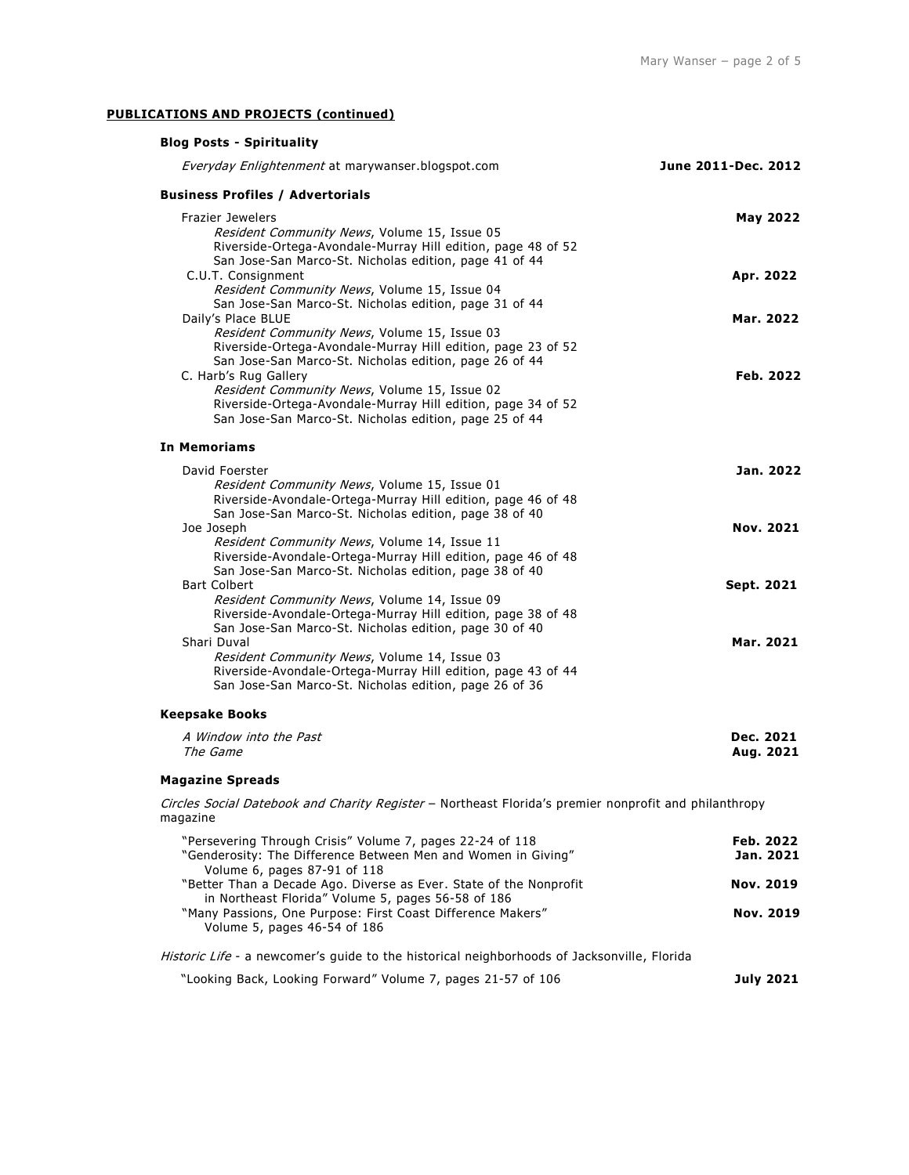# **PUBLICATIONS AND PROJECTS (continued)**

| <b>Blog Posts - Spirituality</b>                                                                                                                                                                                                                          |                        |
|-----------------------------------------------------------------------------------------------------------------------------------------------------------------------------------------------------------------------------------------------------------|------------------------|
| Everyday Enlightenment at marywanser.blogspot.com                                                                                                                                                                                                         | June 2011-Dec. 2012    |
| <b>Business Profiles / Advertorials</b>                                                                                                                                                                                                                   |                        |
| Frazier Jewelers<br>Resident Community News, Volume 15, Issue 05<br>Riverside-Ortega-Avondale-Murray Hill edition, page 48 of 52                                                                                                                          | <b>May 2022</b>        |
| San Jose-San Marco-St. Nicholas edition, page 41 of 44<br>C.U.T. Consignment<br>Resident Community News, Volume 15, Issue 04                                                                                                                              | Apr. 2022              |
| San Jose-San Marco-St. Nicholas edition, page 31 of 44<br>Daily's Place BLUE<br>Resident Community News, Volume 15, Issue 03<br>Riverside-Ortega-Avondale-Murray Hill edition, page 23 of 52                                                              | Mar. 2022              |
| San Jose-San Marco-St. Nicholas edition, page 26 of 44<br>C. Harb's Rug Gallery<br>Resident Community News, Volume 15, Issue 02<br>Riverside-Ortega-Avondale-Murray Hill edition, page 34 of 52<br>San Jose-San Marco-St. Nicholas edition, page 25 of 44 | Feb. 2022              |
| <b>In Memoriams</b>                                                                                                                                                                                                                                       |                        |
| David Foerster<br>Resident Community News, Volume 15, Issue 01<br>Riverside-Avondale-Ortega-Murray Hill edition, page 46 of 48                                                                                                                            | Jan. 2022              |
| San Jose-San Marco-St. Nicholas edition, page 38 of 40<br>Joe Joseph<br>Resident Community News, Volume 14, Issue 11<br>Riverside-Avondale-Ortega-Murray Hill edition, page 46 of 48                                                                      | <b>Nov. 2021</b>       |
| San Jose-San Marco-St. Nicholas edition, page 38 of 40<br><b>Bart Colbert</b><br>Resident Community News, Volume 14, Issue 09<br>Riverside-Avondale-Ortega-Murray Hill edition, page 38 of 48                                                             | Sept. 2021             |
| San Jose-San Marco-St. Nicholas edition, page 30 of 40<br>Shari Duval<br>Resident Community News, Volume 14, Issue 03<br>Riverside-Avondale-Ortega-Murray Hill edition, page 43 of 44<br>San Jose-San Marco-St. Nicholas edition, page 26 of 36           | Mar. 2021              |
| <b>Keepsake Books</b>                                                                                                                                                                                                                                     |                        |
| A Window into the Past<br>The Game                                                                                                                                                                                                                        | Dec. 2021<br>Aug. 2021 |
| <b>Magazine Spreads</b>                                                                                                                                                                                                                                   |                        |
| Circles Social Datebook and Charity Register - Northeast Florida's premier nonprofit and philanthropy<br>magazine                                                                                                                                         |                        |
| "Persevering Through Crisis" Volume 7, pages 22-24 of 118<br>"Genderosity: The Difference Between Men and Women in Giving"<br>Volume 6, pages 87-91 of 118                                                                                                | Feb. 2022<br>Jan. 2021 |
| "Better Than a Decade Ago. Diverse as Ever. State of the Nonprofit<br>in Northeast Florida" Volume 5, pages 56-58 of 186<br>"Many Passions, One Purpose: First Coast Difference Makers"<br>Volume 5, pages 46-54 of 186                                   | Nov. 2019<br>Nov. 2019 |
| Historic Life - a newcomer's guide to the historical neighborhoods of Jacksonville, Florida                                                                                                                                                               |                        |
| "Looking Back, Looking Forward" Volume 7, pages 21-57 of 106                                                                                                                                                                                              | <b>July 2021</b>       |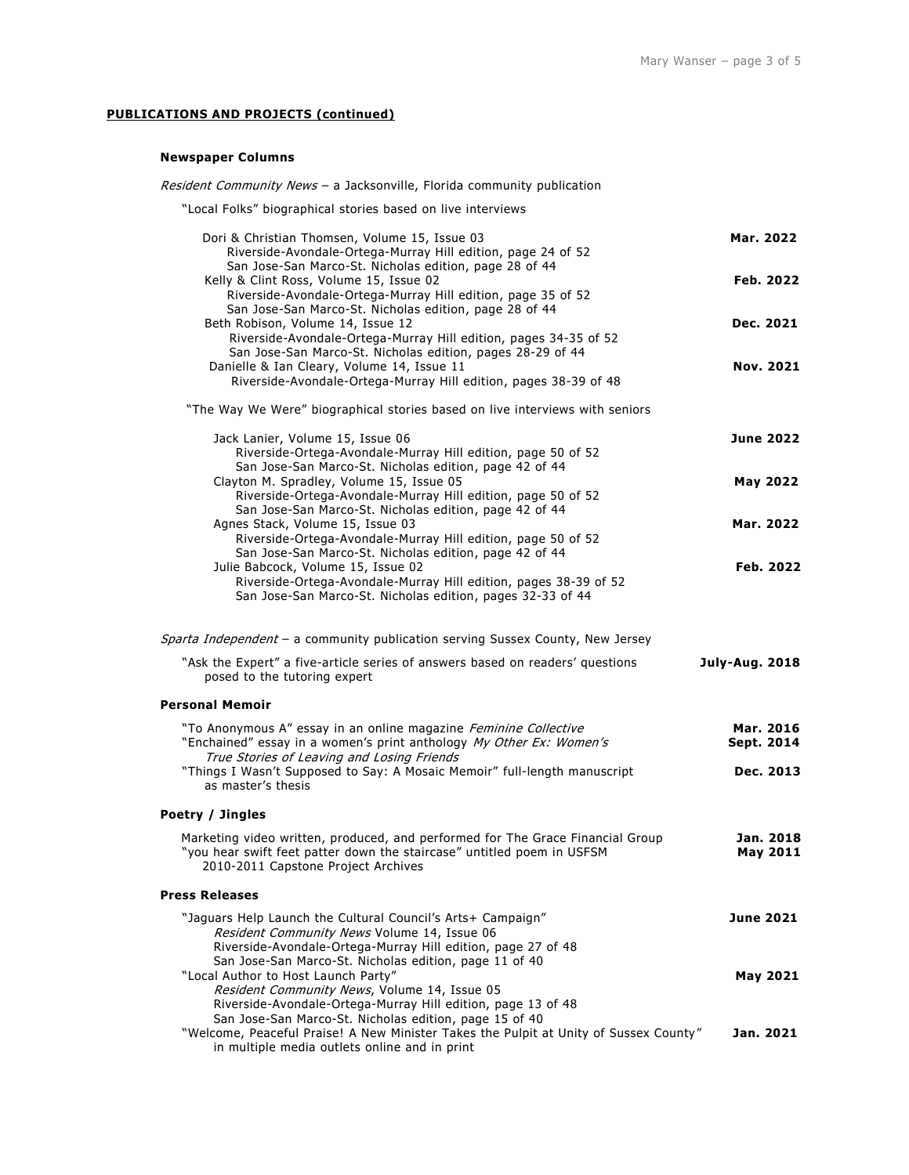# **PUBLICATIONS AND PROJECTS (continued)**

## **Newspaper Columns**

| <i>Resident Community News</i> - a Jacksonville, Florida community publication                                                                                                                  |                         |
|-------------------------------------------------------------------------------------------------------------------------------------------------------------------------------------------------|-------------------------|
| "Local Folks" biographical stories based on live interviews                                                                                                                                     |                         |
| Dori & Christian Thomsen, Volume 15, Issue 03<br>Riverside-Avondale-Ortega-Murray Hill edition, page 24 of 52                                                                                   | Mar. 2022               |
| San Jose-San Marco-St. Nicholas edition, page 28 of 44<br>Kelly & Clint Ross, Volume 15, Issue 02<br>Riverside-Avondale-Ortega-Murray Hill edition, page 35 of 52                               | Feb. 2022               |
| San Jose-San Marco-St. Nicholas edition, page 28 of 44<br>Beth Robison, Volume 14, Issue 12<br>Riverside-Avondale-Ortega-Murray Hill edition, pages 34-35 of 52                                 | Dec. 2021               |
| San Jose-San Marco-St. Nicholas edition, pages 28-29 of 44<br>Danielle & Ian Cleary, Volume 14, Issue 11<br>Riverside-Avondale-Ortega-Murray Hill edition, pages 38-39 of 48                    | <b>Nov. 2021</b>        |
| "The Way We Were" biographical stories based on live interviews with seniors                                                                                                                    |                         |
| Jack Lanier, Volume 15, Issue 06<br>Riverside-Ortega-Avondale-Murray Hill edition, page 50 of 52                                                                                                | <b>June 2022</b>        |
| San Jose-San Marco-St. Nicholas edition, page 42 of 44<br>Clayton M. Spradley, Volume 15, Issue 05                                                                                              | <b>May 2022</b>         |
| Riverside-Ortega-Avondale-Murray Hill edition, page 50 of 52<br>San Jose-San Marco-St. Nicholas edition, page 42 of 44<br>Agnes Stack, Volume 15, Issue 03                                      | Mar. 2022               |
| Riverside-Ortega-Avondale-Murray Hill edition, page 50 of 52<br>San Jose-San Marco-St. Nicholas edition, page 42 of 44                                                                          |                         |
| Julie Babcock, Volume 15, Issue 02<br>Riverside-Ortega-Avondale-Murray Hill edition, pages 38-39 of 52<br>San Jose-San Marco-St. Nicholas edition, pages 32-33 of 44                            | Feb. 2022               |
| Sparta Independent - a community publication serving Sussex County, New Jersey                                                                                                                  |                         |
| "Ask the Expert" a five-article series of answers based on readers' questions<br>posed to the tutoring expert                                                                                   | <b>July-Aug. 2018</b>   |
| <b>Personal Memoir</b>                                                                                                                                                                          |                         |
| "To Anonymous A" essay in an online magazine Feminine Collective<br>"Enchained" essay in a women's print anthology My Other Ex: Women's                                                         | Mar. 2016<br>Sept. 2014 |
| True Stories of Leaving and Losing Friends<br>"Things I Wasn't Supposed to Say: A Mosaic Memoir" full-length manuscript<br>as master's thesis                                                   | Dec. 2013               |
| Poetry / Jingles                                                                                                                                                                                |                         |
| Marketing video written, produced, and performed for The Grace Financial Group<br>"you hear swift feet patter down the staircase" untitled poem in USFSM<br>2010-2011 Capstone Project Archives | Jan. 2018<br>May 2011   |
| <b>Press Releases</b>                                                                                                                                                                           |                         |
| "Jaguars Help Launch the Cultural Council's Arts+ Campaign"<br>Resident Community News Volume 14, Issue 06<br>Riverside-Avondale-Ortega-Murray Hill edition, page 27 of 48                      | <b>June 2021</b>        |
| San Jose-San Marco-St. Nicholas edition, page 11 of 40<br>"Local Author to Host Launch Party"<br>Resident Community News, Volume 14, Issue 05                                                   | May 2021                |
| Riverside-Avondale-Ortega-Murray Hill edition, page 13 of 48<br>San Jose-San Marco-St. Nicholas edition, page 15 of 40                                                                          |                         |

"Welcome, Peaceful Praise! A New Minister Takes the Pulpit at Unity of Sussex County" Jan. 2021 in multiple media outlets online and in print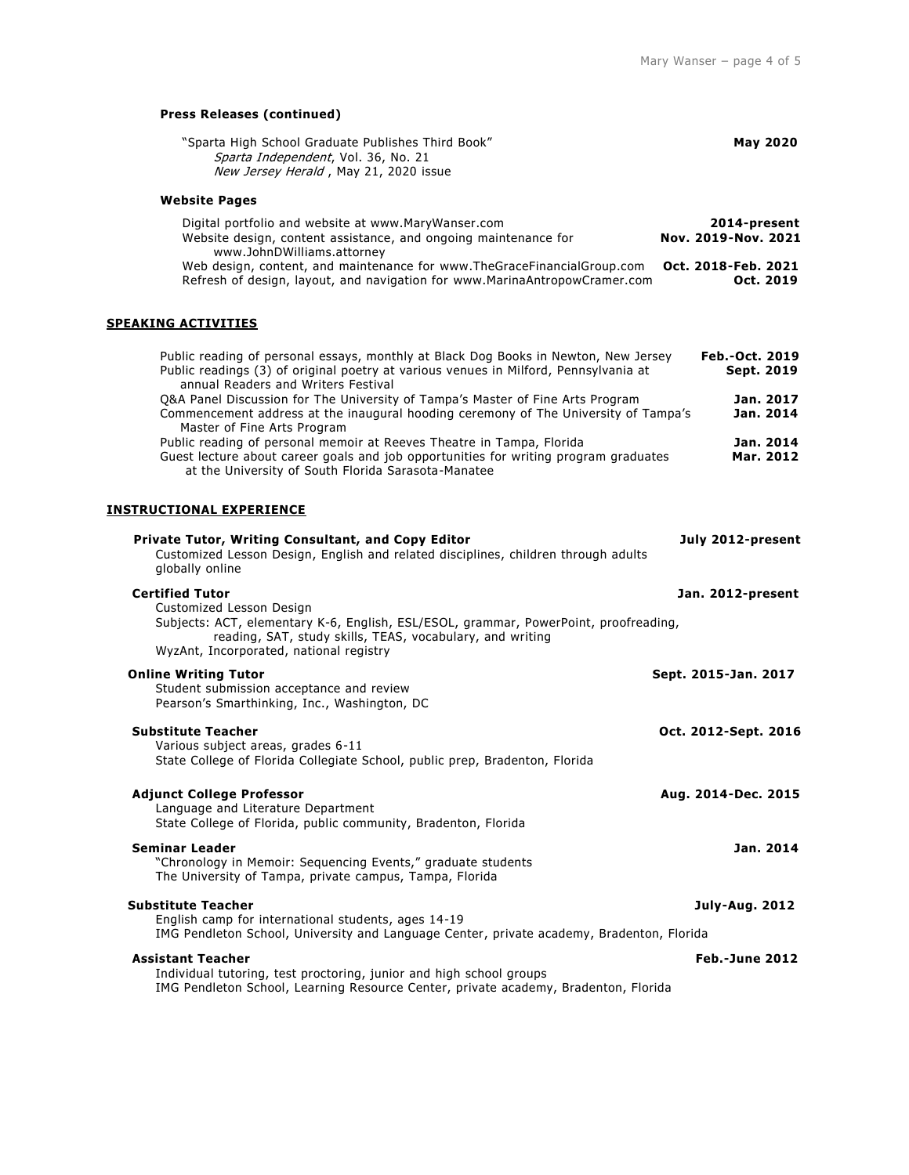# **Press Releases (continued)**

| "Sparta High School Graduate Publishes Third Book"<br>Sparta Independent, Vol. 36, No. 21<br>New Jersey Herald, May 21, 2020 issue                                                                                                                 | <b>May 2020</b>                                            |
|----------------------------------------------------------------------------------------------------------------------------------------------------------------------------------------------------------------------------------------------------|------------------------------------------------------------|
| <b>Website Pages</b>                                                                                                                                                                                                                               |                                                            |
| Digital portfolio and website at www.MaryWanser.com<br>Website design, content assistance, and ongoing maintenance for<br>www.JohnDWilliams.attorney<br>Web design, content, and maintenance for www.TheGraceFinancialGroup.com                    | 2014-present<br>Nov. 2019-Nov. 2021<br>Oct. 2018-Feb. 2021 |
| Refresh of design, layout, and navigation for www.MarinaAntropowCramer.com                                                                                                                                                                         | Oct. 2019                                                  |
| <b>SPEAKING ACTIVITIES</b>                                                                                                                                                                                                                         |                                                            |
| Public reading of personal essays, monthly at Black Dog Books in Newton, New Jersey<br>Public readings (3) of original poetry at various venues in Milford, Pennsylvania at<br>annual Readers and Writers Festival                                 | Feb.-Oct. 2019<br>Sept. 2019                               |
| Q&A Panel Discussion for The University of Tampa's Master of Fine Arts Program<br>Commencement address at the inaugural hooding ceremony of The University of Tampa's<br>Master of Fine Arts Program                                               | Jan. 2017<br>Jan. 2014                                     |
| Public reading of personal memoir at Reeves Theatre in Tampa, Florida<br>Guest lecture about career goals and job opportunities for writing program graduates<br>at the University of South Florida Sarasota-Manatee                               | Jan. 2014<br>Mar. 2012                                     |
| <b>INSTRUCTIONAL EXPERIENCE</b>                                                                                                                                                                                                                    |                                                            |
| Private Tutor, Writing Consultant, and Copy Editor<br>Customized Lesson Design, English and related disciplines, children through adults<br>globally online                                                                                        | July 2012-present                                          |
| <b>Certified Tutor</b><br>Customized Lesson Design<br>Subjects: ACT, elementary K-6, English, ESL/ESOL, grammar, PowerPoint, proofreading,<br>reading, SAT, study skills, TEAS, vocabulary, and writing<br>WyzAnt, Incorporated, national registry | Jan. 2012-present                                          |
| <b>Online Writing Tutor</b><br>Student submission acceptance and review<br>Pearson's Smarthinking, Inc., Washington, DC                                                                                                                            | Sept. 2015-Jan. 2017                                       |
| <b>Substitute Teacher</b><br>Various subject areas, grades 6-11<br>State College of Florida Collegiate School, public prep, Bradenton, Florida                                                                                                     | Oct. 2012-Sept. 2016                                       |
| <b>Adjunct College Professor</b><br>Language and Literature Department<br>State College of Florida, public community, Bradenton, Florida                                                                                                           | Aug. 2014-Dec. 2015                                        |
| <b>Seminar Leader</b><br>"Chronology in Memoir: Sequencing Events," graduate students<br>The University of Tampa, private campus, Tampa, Florida                                                                                                   | Jan. 2014                                                  |
| <b>Substitute Teacher</b><br>English camp for international students, ages 14-19<br>IMG Pendleton School, University and Language Center, private academy, Bradenton, Florida                                                                      | <b>July-Aug. 2012</b>                                      |
| <b>Assistant Teacher</b><br>Individual tutoring, test proctoring, junior and high school groups<br>IMG Pendleton School, Learning Resource Center, private academy, Bradenton, Florida                                                             | <b>Feb.-June 2012</b>                                      |